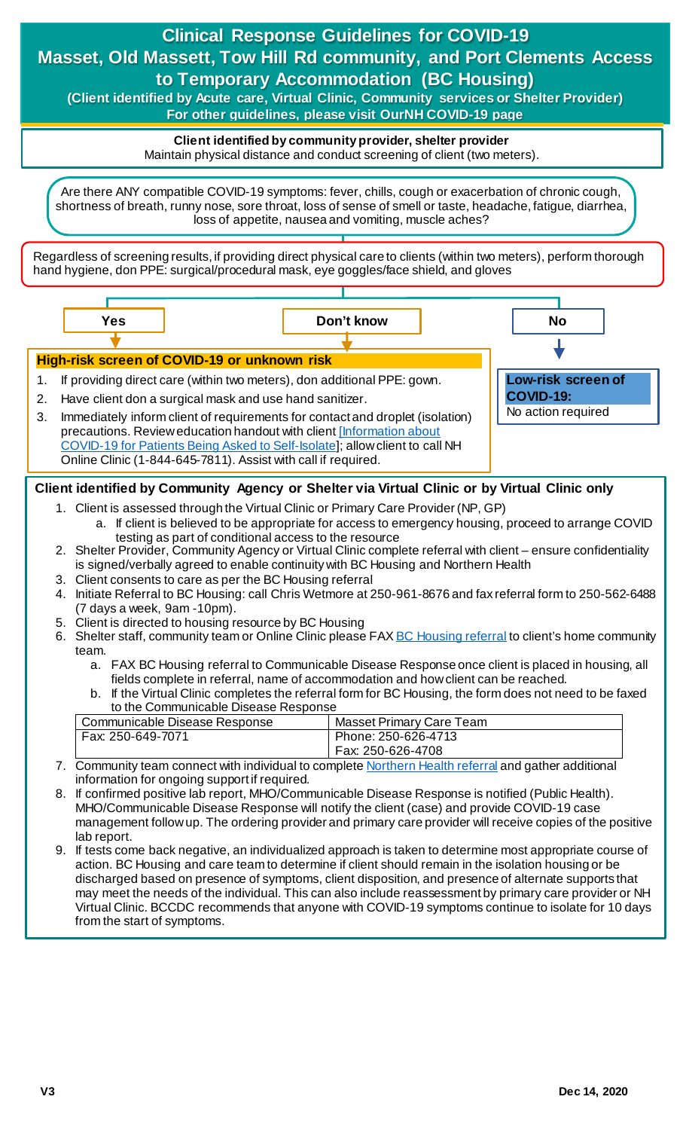# **Clinical Response Guidelines for COVID-19 Masset, Old Massett, Tow Hill Rd community, and Port Clements Access to Temporary Accommodation (BC Housing)**

**(Client identified by Acute care, Virtual Clinic, Community services or Shelter Provider) For other guidelines, please visit OurNH COVID-19 page**

> **Client identified by community provider, shelter provider**

Maintain physical distance and conduct screening of client (two meters).

Are there ANY compatible COVID-19 symptoms: fever, chills, cough or exacerbation of chronic cough, shortness of breath, runny nose, sore throat, loss of sense of smell or taste, headache, fatigue, diarrhea, loss of appetite, nausea and vomiting, muscle aches?

Regardless of screening results, if providing direct physical care to clients (within two meters), perform thorough hand hygiene, don PPE: surgical/procedural mask, eye goggles/face shield, and gloves



# **Client identified by Community Agency or Shelter via Virtual Clinic or by Virtual Clinic only**

- 1. Client is assessed through the Virtual Clinic or Primary Care Provider (NP, GP)
	- a. If client is believed to be appropriate for access to emergency housing, proceed to arrange COVID testing as part of conditional access to the resource
- 2. Shelter Provider, Community Agency or Virtual Clinic complete referral with client ensure confidentiality is signed/verbally agreed to enable continuity with BC Housing and Northern Health
- 3. Client consents to care as per the BC Housing referral
- 4. Initiate Referral to BC Housing: call Chris Wetmore at 250-961-8676 and fax referral form to 250-562-6488 (7 days a week, 9am -10pm).
- 5. Client is directed to housing resource by BC Housing
- 6. Shelter staff, community team or Online Clinic please FA[X BC Housing referral](http://docushare.northernhealth.ca/docushare/dsweb/Get/Document-349544/10-800-7005%20COVID-19%20Temporary%20Accommodation%20Referral%20%E2%80%93%20BC%20Housing%20information.pdf) to client's home community team.
	- a. FAX BC Housing referral to Communicable Disease Response once client is placed in housing, all fields complete in referral, name of accommodation and how client can be reached.
	- b. If the Virtual Clinic completes the referral form for BC Housing, the form does not need to be faxed to the Communicable Disease Response

| Communicable Disease Response | Masset Primary Care Team |
|-------------------------------|--------------------------|
| Fax: 250-649-7071             | Phone: 250-626-4713      |
|                               | Fax: 250-626-4708        |

- 7. Community team connect with individual to complet[e Northern Health](http://docushare.northernhealth.ca/docushare/dsweb/Get/Document-349545/10-800-7004%20COVID-19%20Temporary%20Accommodation%20Referral%20%E2%80%93%20Northern%20Health%20information.pdf) referral and gather additional information for ongoing support if required.
- 8. If confirmed positive lab report, MHO/Communicable Disease Response is notified (Public Health). MHO/Communicable Disease Response will notify the client (case) and provide COVID-19 case management follow up. The ordering provider and primary care provider will receive copies of the positive lab report.
- 9. If tests come back negative, an individualized approach is taken to determine most appropriate course of action. BC Housing and care team to determine if client should remain in the isolation housing or be discharged based on presence of symptoms, client disposition, and presence of alternate supports that may meet the needs of the individual. This can also include reassessment by primary care provider or NH Virtual Clinic. BCCDC recommends that anyone with COVID-19 symptoms continue to isolate for 10 days from the start of symptoms.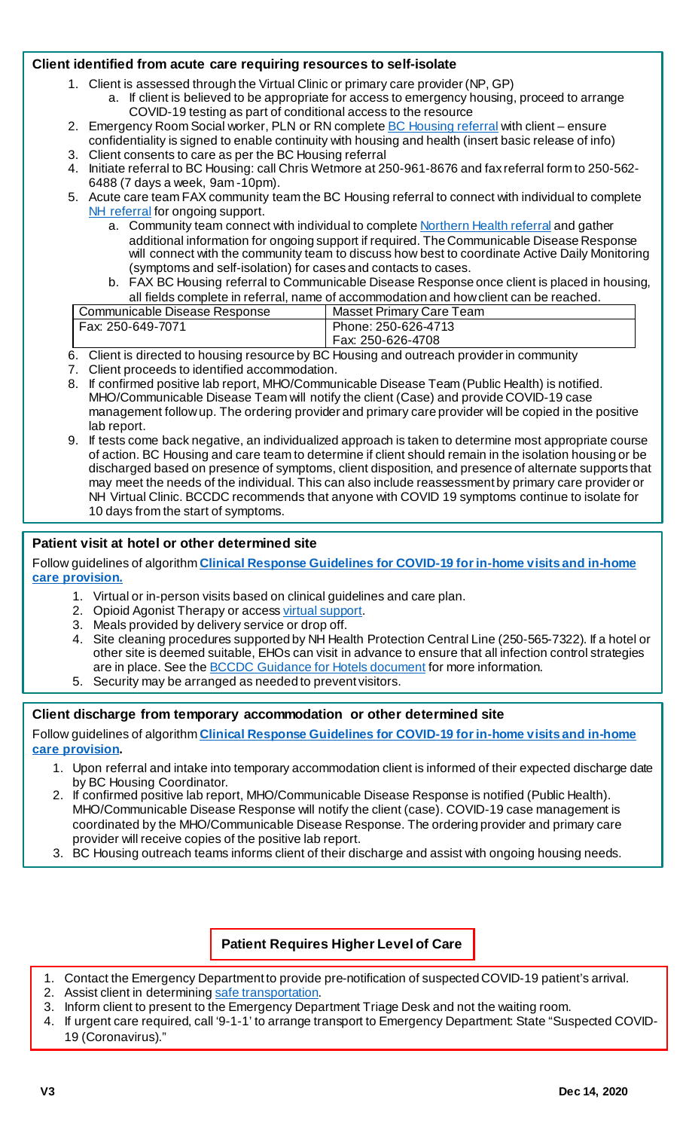#### **Client identified from acute care requiring resources to self-isolate**

- 1. Client is assessed through the Virtual Clinic or primary care provider (NP, GP)
	- a. If client is believed to be appropriate for access to emergency housing, proceed to arrange COVID-19 testing as part of conditional access to the resource
- 2. Emergency Room Social worker, PLN or RN complete **BC Housing referral** with client ensure
- confidentiality is signed to enable continuity with housing and health (insert basic release of info) 3. Client consents to care as per the BC Housing referral
- 4. Initiate referral to BC Housing: call Chris Wetmore at 250-961-8676 and fax referral form to 250-562- 6488 (7 days a week, 9am -10pm).
- 5. Acute care team FAX community team the BC Housing referral to connect with individual to complete [NH referral](http://docushare.northernhealth.ca/docushare/dsweb/Get/Document-349545/10-800-7004%20COVID-19%20Temporary%20Accommodation%20Referral%20%E2%80%93%20Northern%20Health%20information.pdf) for ongoing support.
	- a. Community team connect with individual to complet[e Northern Health referral](http://docushare.northernhealth.ca/docushare/dsweb/Get/Document-349545/10-800-7004%20COVID-19%20Temporary%20Accommodation%20Referral%20%E2%80%93%20Northern%20Health%20information.pdf) and gather additional information for ongoing support if required. The Communicable Disease Response will connect with the community team to discuss how best to coordinate Active Daily Monitoring (symptoms and self-isolation) for cases and contacts to cases.
	- b. FAX BC Housing referral to Communicable Disease Response once client is placed in housing, all fields complete in referral, name of accommodation and how client can be reached.

| Communicable Disease Response | Masset Primary Care Team                 |
|-------------------------------|------------------------------------------|
| Fax: 250-649-7071             | Phone: 250-626-4713<br>Fax: 250-626-4708 |

- 6. Client is directed to housing resource by BC Housing and outreach provider in community
- 7. Client proceeds to identified accommodation.
- 8. If confirmed positive lab report, MHO/Communicable Disease Team (Public Health) is notified. MHO/Communicable Disease Team will notify the client (Case) and provide COVID-19 case management follow up. The ordering provider and primary care provider will be copied in the positive lab report.
- 9. If tests come back negative, an individualized approach is taken to determine most appropriate course of action. BC Housing and care team to determine if client should remain in the isolation housing or be discharged based on presence of symptoms, client disposition, and presence of alternate supports that may meet the needs of the individual. This can also include reassessment by primary care provider or NH Virtual Clinic. BCCDC recommends that anyone with COVID 19 symptoms continue to isolate for 10 days from the start of symptoms.

## **Patient visit at hotel or other determined site**

Follow guidelines of algorithm **[Clinical Response Guidelines for COVID-19 for in-home visits and in-home](https://ournh.northernhealth.ca/oursites/communications/OurNH%20Communications%20Documents/clinical-response-guidelines-for-in-home-visits-and-care-provision.pdf)  [care provision.](https://ournh.northernhealth.ca/oursites/communications/OurNH%20Communications%20Documents/clinical-response-guidelines-for-in-home-visits-and-care-provision.pdf)**

- 1. Virtual or in-person visits based on clinical guidelines and care plan.
- 2. Opioid Agonist Therapy or acces[s virtual support](https://ournh.northernhealth.ca/oursites/communications/OurNH%20Communications%20Documents/clinical-response-guideline-for-covid19-virtual-clinic-substance-use-pathway.pdf).
- 3. Meals provided by delivery service or drop off.
- 4. Site cleaning procedures supported by NH Health Protection Central Line (250-565-7322). If a hotel or other site is deemed suitable, EHOs can visit in advance to ensure that all infection control strategies are in place. See th[e BCCDC Guidance for Hotels document](https://www2.gov.bc.ca/assets/gov/health/about-bc-s-health-care-system/office-of-the-provincial-health-officer/covid-19/covid-19-pho-guidance-hotel-sector.pdf) for more information.
- 5. Security may be arranged as needed to prevent visitors.

## **Client discharge from temporary accommodation or other determined site**

Follow guidelines of algorithm **Clinical [Response Guidelines for COVID-19 for in-home visits and in-home](https://ournh.northernhealth.ca/oursites/communications/OurNH%20Communications%20Documents/clinical-response-guidelines-for-in-home-visits-and-care-provision.pdf)  [care provision](https://ournh.northernhealth.ca/oursites/communications/OurNH%20Communications%20Documents/clinical-response-guidelines-for-in-home-visits-and-care-provision.pdf).**

- 1. Upon referral and intake into temporary accommodation client is informed of their expected discharge date by BC Housing Coordinator.
- 2. If confirmed positive lab report, MHO/Communicable Disease Response is notified (Public Health). MHO/Communicable Disease Response will notify the client (case). COVID-19 case management is coordinated by the MHO/Communicable Disease Response. The ordering provider and primary care provider will receive copies of the positive lab report.
- 3. BC Housing outreach teams informs client of their discharge and assist with ongoing housing needs.

**Patient Requires Higher Level of Care**

- 1. Contact the Emergency Department to provide pre-notification of suspected COVID-19 patient's arrival.
- 2. Assist client in determinin[g safe transportation](http://www.bccdc.ca/health-professionals/clinical-resources/covid-19-care/clinical-care/first-responders).
- 3. Inform client to present to the Emergency Department Triage Desk and not the waiting room.
- 4. If urgent care required, call '9-1-1' to arrange transport to Emergency Department: State "Suspected COVID-19 (Coronavirus)."